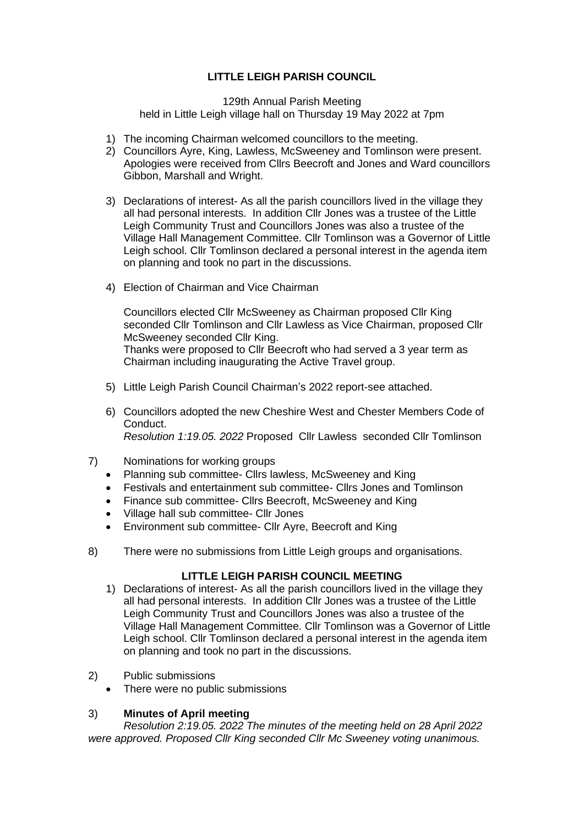## **LITTLE LEIGH PARISH COUNCIL**

#### 129th Annual Parish Meeting held in Little Leigh village hall on Thursday 19 May 2022 at 7pm

- 1) The incoming Chairman welcomed councillors to the meeting.
- 2) Councillors Ayre, King, Lawless, McSweeney and Tomlinson were present. Apologies were received from Cllrs Beecroft and Jones and Ward councillors Gibbon, Marshall and Wright.
- 3) Declarations of interest- As all the parish councillors lived in the village they all had personal interests. In addition Cllr Jones was a trustee of the Little Leigh Community Trust and Councillors Jones was also a trustee of the Village Hall Management Committee. Cllr Tomlinson was a Governor of Little Leigh school. Cllr Tomlinson declared a personal interest in the agenda item on planning and took no part in the discussions.
- 4) Election of Chairman and Vice Chairman

Councillors elected Cllr McSweeney as Chairman proposed Cllr King seconded Cllr Tomlinson and Cllr Lawless as Vice Chairman, proposed Cllr McSweeney seconded Cllr King. Thanks were proposed to Cllr Beecroft who had served a 3 year term as Chairman including inaugurating the Active Travel group.

- 5) Little Leigh Parish Council Chairman's 2022 report-see attached.
- 6) Councillors adopted the new Cheshire West and Chester Members Code of Conduct. *Resolution 1:19.05. 2022* Proposed Cllr Lawless seconded Cllr Tomlinson
- 7) Nominations for working groups
	- Planning sub committee- Cllrs lawless, McSweeney and King
	- Festivals and entertainment sub committee- Cllrs Jones and Tomlinson
	- Finance sub committee- Cllrs Beecroft, McSweeney and King
	- Village hall sub committee- Cllr Jones
	- Environment sub committee- Cllr Ayre, Beecroft and King
- 8) There were no submissions from Little Leigh groups and organisations.

#### **LITTLE LEIGH PARISH COUNCIL MEETING**

- 1) Declarations of interest- As all the parish councillors lived in the village they all had personal interests. In addition Cllr Jones was a trustee of the Little Leigh Community Trust and Councillors Jones was also a trustee of the Village Hall Management Committee. Cllr Tomlinson was a Governor of Little Leigh school. Cllr Tomlinson declared a personal interest in the agenda item on planning and took no part in the discussions.
- 2) Public submissions
	- There were no public submissions

#### 3) **Minutes of April meeting**

*Resolution 2:19.05. 2022 The minutes of the meeting held on 28 April 2022 were approved. Proposed Cllr King seconded Cllr Mc Sweeney voting unanimous.*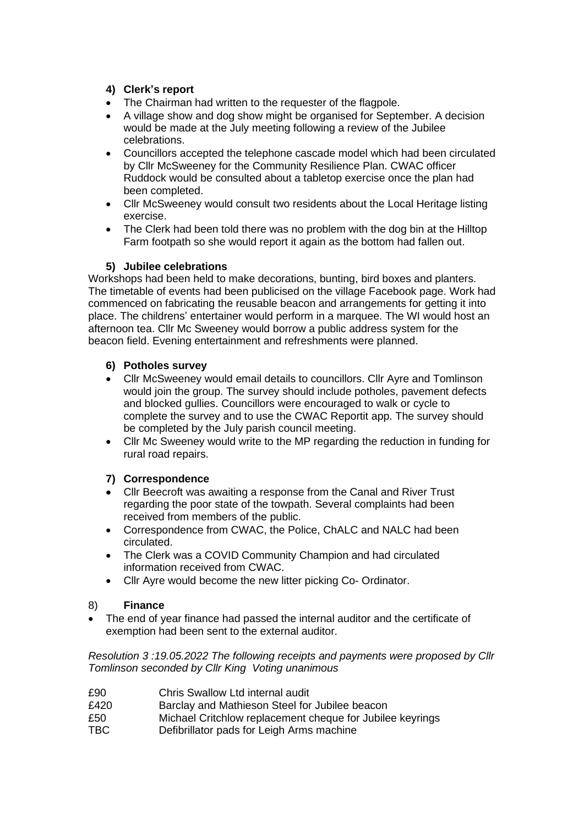## **4) Clerk's report**

- The Chairman had written to the requester of the flagpole.
- A village show and dog show might be organised for September. A decision would be made at the July meeting following a review of the Jubilee celebrations.
- Councillors accepted the telephone cascade model which had been circulated by Cllr McSweeney for the Community Resilience Plan. CWAC officer Ruddock would be consulted about a tabletop exercise once the plan had been completed.
- Cllr McSweeney would consult two residents about the Local Heritage listing exercise.
- The Clerk had been told there was no problem with the dog bin at the Hilltop Farm footpath so she would report it again as the bottom had fallen out.

## **5) Jubilee celebrations**

Workshops had been held to make decorations, bunting, bird boxes and planters. The timetable of events had been publicised on the village Facebook page. Work had commenced on fabricating the reusable beacon and arrangements for getting it into place. The childrens' entertainer would perform in a marquee. The WI would host an afternoon tea. Cllr Mc Sweeney would borrow a public address system for the beacon field. Evening entertainment and refreshments were planned.

## **6) Potholes survey**

- Cllr McSweeney would email details to councillors. Cllr Ayre and Tomlinson would join the group. The survey should include potholes, pavement defects and blocked gullies. Councillors were encouraged to walk or cycle to complete the survey and to use the CWAC Reportit app. The survey should be completed by the July parish council meeting.
- Cllr Mc Sweeney would write to the MP regarding the reduction in funding for rural road repairs.

# **7) Correspondence**

- Cllr Beecroft was awaiting a response from the Canal and River Trust regarding the poor state of the towpath. Several complaints had been received from members of the public.
- Correspondence from CWAC, the Police, ChALC and NALC had been circulated.
- The Clerk was a COVID Community Champion and had circulated information received from CWAC.
- Cllr Ayre would become the new litter picking Co- Ordinator.

#### 8) **Finance**

The end of year finance had passed the internal auditor and the certificate of exemption had been sent to the external auditor.

*Resolution 3 :19.05.2022 The following receipts and payments were proposed by Cllr Tomlinson seconded by Cllr King Voting unanimous* 

- £90 Chris Swallow Ltd internal audit
- £420 Barclay and Mathieson Steel for Jubilee beacon
- £50 Michael Critchlow replacement cheque for Jubilee keyrings
- TBC Defibrillator pads for Leigh Arms machine